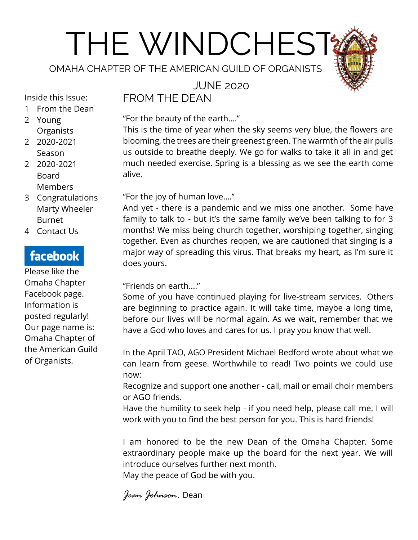# THE WINDCHEST

OMAHA CHAPTER OF THE AMERICAN GUILD OF ORGANISTS

JUNE 2020

Inside this Issue:

- 1 From the Dean
- 2 Young **Organists**
- 2 2020-2021 Season
- 2 2020-2021 Board Members
- 3 Congratulations Marty Wheeler Burnet
- 4 Contact Us

# facebook

Please like the Omaha Chapter Facebook page. Information is posted regularly! Our page name is: Omaha Chapter of the American Guild of Organists.

FROM THE DEAN

"For the beauty of the earth...." This is the time of year when the sky seems very blue, the flowers are blooming, the trees are their greenest green. The warmth of the air pulls us outside to breathe deeply. We go for walks to take it all in and get much needed exercise. Spring is a blessing as we see the earth come alive.

"For the joy of human love...."

And yet - there is a pandemic and we miss one another. Some have family to talk to - but it's the same family we've been talking to for 3 months! We miss being church together, worshiping together, singing together. Even as churches reopen, we are cautioned that singing is a major way of spreading this virus. That breaks my heart, as I'm sure it does yours.

"Friends on earth...."

Some of you have continued playing for live-stream services. Others are beginning to practice again. It will take time, maybe a long time, before our lives will be normal again. As we wait, remember that we have a God who loves and cares for us. I pray you know that well.

In the April TAO, AGO President Michael Bedford wrote about what we can learn from geese. Worthwhile to read! Two points we could use now:

Recognize and support one another - call, mail or email choir members or AGO friends.

Have the humility to seek help - if you need help, please call me. I will work with you to find the best person for you. This is hard friends!

I am honored to be the new Dean of the Omaha Chapter. Some extraordinary people make up the board for the next year. We will introduce ourselves further next month. May the peace of God be with you.

*Jean Johnson,* Dean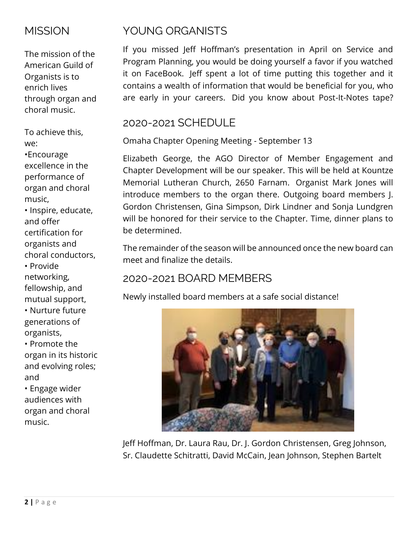## **MISSION**

The mission of the American Guild of Organists is to enrich lives through organ and choral music.

To achieve this, we:

•Encourage excellence in the performance of organ and choral music,

• Inspire, educate, and offer certification for organists and choral conductors, • Provide

networking, fellowship, and mutual support,

• Nurture future generations of organists,

• Promote the organ in its historic and evolving roles; and

• Engage wider audiences with organ and choral music.

# YOUNG ORGANISTS

If you missed Jeff Hoffman's presentation in April on Service and Program Planning, you would be doing yourself a favor if you watched it on FaceBook. Jeff spent a lot of time putting this together and it contains a wealth of information that would be beneficial for you, who are early in your careers. Did you know about Post-It-Notes tape?

## 2020-2021 SCHEDULE

Omaha Chapter Opening Meeting - September 13

Elizabeth George, the AGO Director of Member Engagement and Chapter Development will be our speaker. This will be held at Kountze Memorial Lutheran Church, 2650 Farnam. Organist Mark Jones will introduce members to the organ there. Outgoing board members J. Gordon Christensen, Gina Simpson, Dirk Lindner and Sonja Lundgren will be honored for their service to the Chapter. Time, dinner plans to be determined.

The remainder of the season will be announced once the new board can meet and finalize the details.

# 2020-2021 BOARD MEMBERS

Newly installed board members at a safe social distance!



Jeff Hoffman, Dr. Laura Rau, Dr. J. Gordon Christensen, Greg Johnson, Sr. Claudette Schitratti, David McCain, Jean Johnson, Stephen Bartelt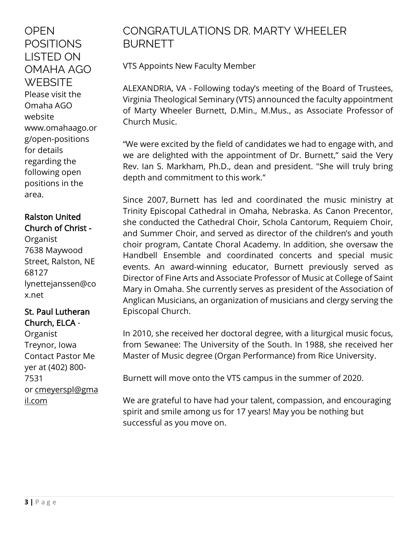**OPEN** POSITIONS LISTED ON OMAHA AGO **WEBSITE** Please visit the Omaha AGO website [www.omahaago.or](http://www.omahaago.org/open-positions) [g/open-positions](http://www.omahaago.org/open-positions) for details regarding the following open positions in the area.

### Ralston United Church of Christ -

Organist 7638 Maywood Street, Ralston, NE 68127 lynettejanssen@co x.net

#### St. Paul Lutheran Church, ELCA -

Organist Treynor, Iowa Contact Pastor Me yer at (402) 800- 7531 or [cmeyerspl@gma](mailto:cmeyerspl@gmail.com) [il.com](mailto:cmeyerspl@gmail.com)

## CONGRATULATIONS DR. MARTY WHEELER BURNETT

VTS Appoints New Faculty Member

ALEXANDRIA, VA - Following today's meeting of the Board of Trustees, Virginia Theological Seminary (VTS) announced the faculty appointment of Marty Wheeler Burnett, D.Min., M.Mus., as Associate Professor of Church Music.

"We were excited by the field of candidates we had to engage with, and we are delighted with the appointment of Dr. Burnett," said the Very Rev. Ian S. Markham, Ph.D., dean and president. "She will truly bring depth and commitment to this work."

Since 2007, Burnett has led and coordinated the music ministry at Trinity Episcopal Cathedral in Omaha, Nebraska. As Canon Precentor, she conducted the Cathedral Choir, Schola Cantorum, Requiem Choir, and Summer Choir, and served as director of the children's and youth choir program, Cantate Choral Academy. In addition, she oversaw the Handbell Ensemble and coordinated concerts and special music events. An award-winning educator, Burnett previously served as Director of Fine Arts and Associate Professor of Music at College of Saint Mary in Omaha. She currently serves as president of the Association of Anglican Musicians, an organization of musicians and clergy serving the Episcopal Church.

In 2010, she received her doctoral degree, with a liturgical music focus, from Sewanee: The University of the South. In 1988, she received her Master of Music degree (Organ Performance) from Rice University.

Burnett will move onto the VTS campus in the summer of 2020.

We are grateful to have had your talent, compassion, and encouraging spirit and smile among us for 17 years! May you be nothing but successful as you move on.